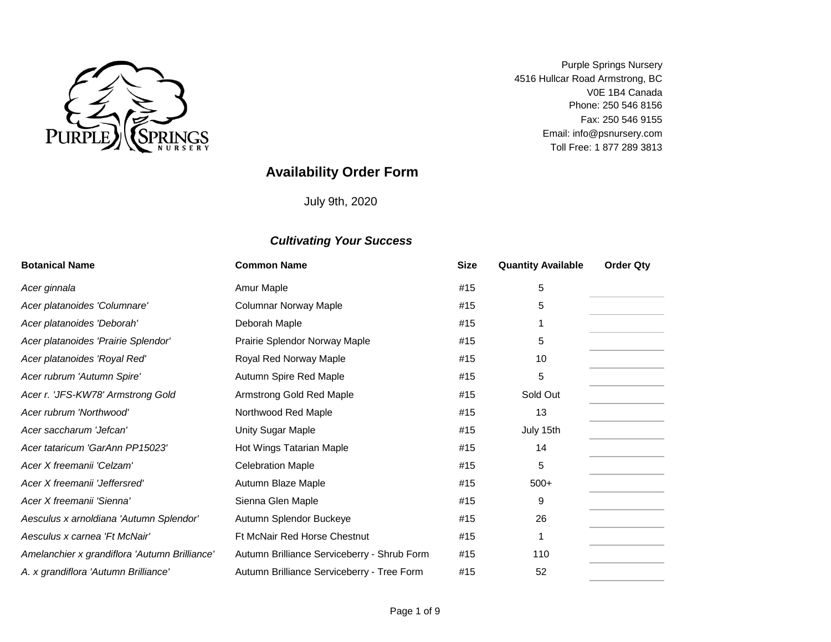

V0E 1B4 Canada Fax: 250 546 9155 Purple Springs Nursery 4516 Hullcar Road Armstrong, BC Toll Free: 1 877 289 3813 Phone: 250 546 8156 Email: info@psnursery.com

# **Availability Order Form**

July 9th, 2020

| <b>Botanical Name</b>                         | <b>Common Name</b>                          | <b>Size</b> | <b>Quantity Available</b> | <b>Order Qty</b> |
|-----------------------------------------------|---------------------------------------------|-------------|---------------------------|------------------|
| Acer ginnala                                  | Amur Maple                                  | #15         | 5                         |                  |
| Acer platanoides 'Columnare'                  | <b>Columnar Norway Maple</b>                | #15         | 5                         |                  |
| Acer platanoides 'Deborah'                    | Deborah Maple                               | #15         |                           |                  |
| Acer platanoides 'Prairie Splendor'           | Prairie Splendor Norway Maple               | #15         | 5                         |                  |
| Acer platanoides 'Royal Red'                  | Royal Red Norway Maple                      | #15         | 10                        |                  |
| Acer rubrum 'Autumn Spire'                    | Autumn Spire Red Maple                      | #15         | 5                         |                  |
| Acer r. 'JFS-KW78' Armstrong Gold             | Armstrong Gold Red Maple                    | #15         | Sold Out                  |                  |
| Acer rubrum 'Northwood'                       | Northwood Red Maple                         | #15         | 13                        |                  |
| Acer saccharum 'Jefcan'                       | Unity Sugar Maple                           | #15         | July 15th                 |                  |
| Acer tataricum 'GarAnn PP15023'               | Hot Wings Tatarian Maple                    | #15         | 14                        |                  |
| Acer X freemanii 'Celzam'                     | <b>Celebration Maple</b>                    | #15         | 5                         |                  |
| Acer X freemanii 'Jeffersred'                 | Autumn Blaze Maple                          | #15         | $500+$                    |                  |
| Acer X freemanii 'Sienna'                     | Sienna Glen Maple                           | #15         | 9                         |                  |
| Aesculus x arnoldiana 'Autumn Splendor'       | Autumn Splendor Buckeye                     | #15         | 26                        |                  |
| Aesculus x carnea 'Ft McNair'                 | Ft McNair Red Horse Chestnut                | #15         |                           |                  |
| Amelanchier x grandiflora 'Autumn Brilliance' | Autumn Brilliance Serviceberry - Shrub Form | #15         | 110                       |                  |
| A. x grandiflora 'Autumn Brilliance'          | Autumn Brilliance Serviceberry - Tree Form  | #15         | 52                        |                  |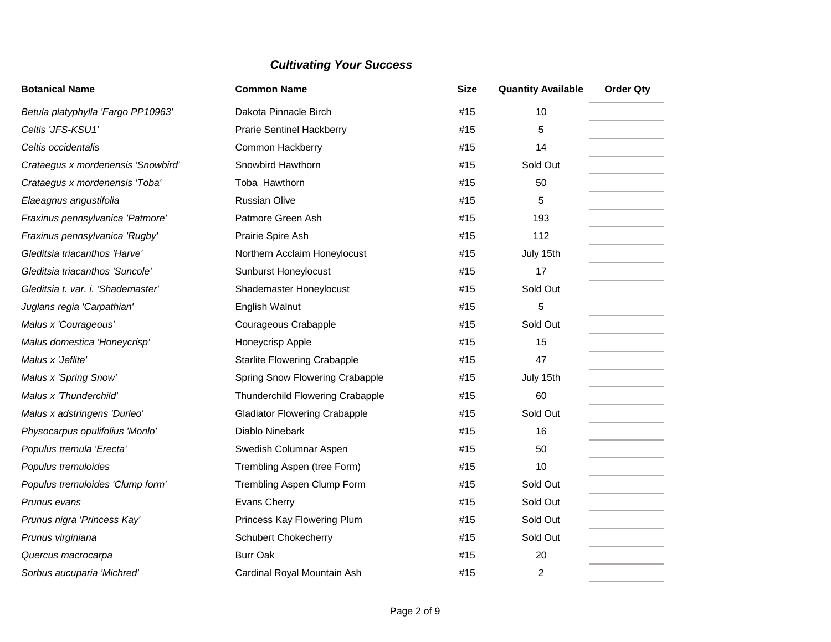| <b>Botanical Name</b>              | <b>Common Name</b>                   | <b>Size</b> | <b>Quantity Available</b> | <b>Order Qty</b> |
|------------------------------------|--------------------------------------|-------------|---------------------------|------------------|
| Betula platyphylla 'Fargo PP10963' | Dakota Pinnacle Birch                | #15         | 10                        |                  |
| Celtis 'JFS-KSU1'                  | <b>Prarie Sentinel Hackberry</b>     | #15         | 5                         |                  |
| Celtis occidentalis                | Common Hackberry                     | #15         | 14                        |                  |
| Crataegus x mordenensis 'Snowbird' | Snowbird Hawthorn                    | #15         | Sold Out                  |                  |
| Crataegus x mordenensis 'Toba'     | Toba Hawthorn                        | #15         | 50                        |                  |
| Elaeagnus angustifolia             | <b>Russian Olive</b>                 | #15         | 5                         |                  |
| Fraxinus pennsylvanica 'Patmore'   | Patmore Green Ash                    | #15         | 193                       |                  |
| Fraxinus pennsylvanica 'Rugby'     | Prairie Spire Ash                    | #15         | 112                       |                  |
| Gleditsia triacanthos 'Harve'      | Northern Acclaim Honeylocust         | #15         | July 15th                 |                  |
| Gleditsia triacanthos 'Suncole'    | <b>Sunburst Honeylocust</b>          | #15         | 17                        |                  |
| Gleditsia t. var. i. 'Shademaster' | Shademaster Honeylocust              | #15         | Sold Out                  |                  |
| Juglans regia 'Carpathian'         | English Walnut                       | #15         | 5                         |                  |
| Malus x 'Courageous'               | Courageous Crabapple                 | #15         | Sold Out                  |                  |
| Malus domestica 'Honeycrisp'       | Honeycrisp Apple                     | #15         | 15                        |                  |
| Malus x 'Jeflite'                  | <b>Starlite Flowering Crabapple</b>  | #15         | 47                        |                  |
| Malus x 'Spring Snow'              | Spring Snow Flowering Crabapple      | #15         | July 15th                 |                  |
| Malus x 'Thunderchild'             | Thunderchild Flowering Crabapple     | #15         | 60                        |                  |
| Malus x adstringens 'Durleo'       | <b>Gladiator Flowering Crabapple</b> | #15         | Sold Out                  |                  |
| Physocarpus opulifolius 'Monlo'    | Diablo Ninebark                      | #15         | 16                        |                  |
| Populus tremula 'Erecta'           | Swedish Columnar Aspen               | #15         | 50                        |                  |
| Populus tremuloides                | Trembling Aspen (tree Form)          | #15         | 10                        |                  |
| Populus tremuloides 'Clump form'   | Trembling Aspen Clump Form           | #15         | Sold Out                  |                  |
| Prunus evans                       | Evans Cherry                         | #15         | Sold Out                  |                  |
| Prunus nigra 'Princess Kay'        | Princess Kay Flowering Plum          | #15         | Sold Out                  |                  |
| Prunus virginiana                  | <b>Schubert Chokecherry</b>          | #15         | Sold Out                  |                  |
| Quercus macrocarpa                 | <b>Burr Oak</b>                      | #15         | 20                        |                  |
| Sorbus aucuparia 'Michred'         | Cardinal Royal Mountain Ash          | #15         | 2                         |                  |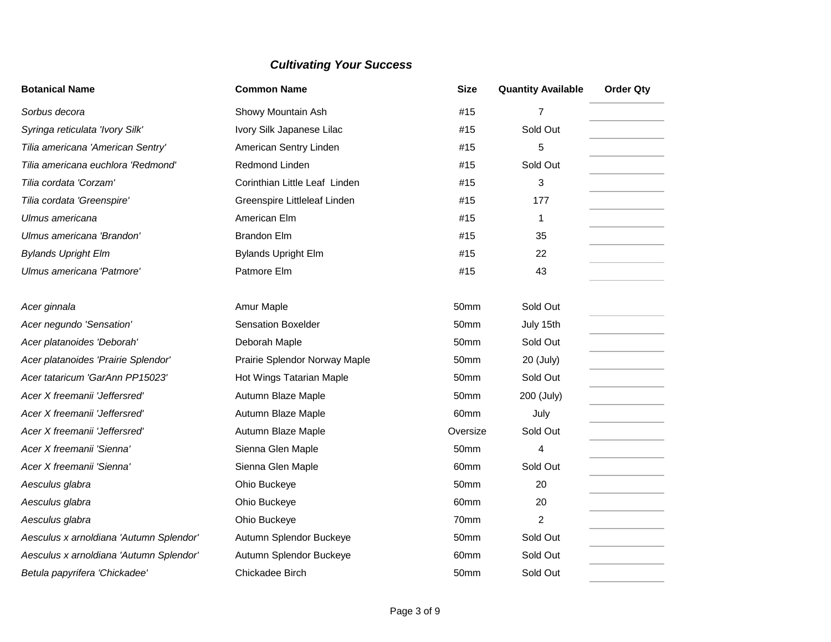| <b>Botanical Name</b>                   | <b>Common Name</b>            | <b>Size</b> | <b>Quantity Available</b> | <b>Order Qty</b> |
|-----------------------------------------|-------------------------------|-------------|---------------------------|------------------|
| Sorbus decora                           | Showy Mountain Ash            | #15         | $\overline{7}$            |                  |
| Syringa reticulata 'Ivory Silk'         | Ivory Silk Japanese Lilac     | #15         | Sold Out                  |                  |
| Tilia americana 'American Sentry'       | American Sentry Linden        | #15         | 5                         |                  |
| Tilia americana euchlora 'Redmond'      | Redmond Linden                | #15         | Sold Out                  |                  |
| Tilia cordata 'Corzam'                  | Corinthian Little Leaf Linden | #15         | 3                         |                  |
| Tilia cordata 'Greenspire'              | Greenspire Littleleaf Linden  | #15         | 177                       |                  |
| Ulmus americana                         | American Elm                  | #15         | 1                         |                  |
| Ulmus americana 'Brandon'               | <b>Brandon Elm</b>            | #15         | 35                        |                  |
| <b>Bylands Upright Elm</b>              | <b>Bylands Upright Elm</b>    | #15         | 22                        |                  |
| Ulmus americana 'Patmore'               | Patmore Elm                   | #15         | 43                        |                  |
|                                         |                               |             |                           |                  |
| Acer ginnala                            | Amur Maple                    | 50mm        | Sold Out                  |                  |
| Acer negundo 'Sensation'                | <b>Sensation Boxelder</b>     | 50mm        | July 15th                 |                  |
| Acer platanoides 'Deborah'              | Deborah Maple                 | 50mm        | Sold Out                  |                  |
| Acer platanoides 'Prairie Splendor'     | Prairie Splendor Norway Maple | 50mm        | 20 (July)                 |                  |
| Acer tataricum 'GarAnn PP15023'         | Hot Wings Tatarian Maple      | 50mm        | Sold Out                  |                  |
| Acer X freemanii 'Jeffersred'           | Autumn Blaze Maple            | 50mm        | 200 (July)                |                  |
| Acer X freemanii 'Jeffersred'           | Autumn Blaze Maple            | 60mm        | July                      |                  |
| Acer X freemanii 'Jeffersred'           | Autumn Blaze Maple            | Oversize    | Sold Out                  |                  |
| Acer X freemanii 'Sienna'               | Sienna Glen Maple             | 50mm        | 4                         |                  |
| Acer X freemanii 'Sienna'               | Sienna Glen Maple             | 60mm        | Sold Out                  |                  |
| Aesculus glabra                         | Ohio Buckeye                  | 50mm        | 20                        |                  |
| Aesculus glabra                         | Ohio Buckeye                  | 60mm        | 20                        |                  |
| Aesculus glabra                         | Ohio Buckeye                  | 70mm        | $\overline{2}$            |                  |
| Aesculus x arnoldiana 'Autumn Splendor' | Autumn Splendor Buckeye       | 50mm        | Sold Out                  |                  |
| Aesculus x arnoldiana 'Autumn Splendor' | Autumn Splendor Buckeye       | 60mm        | Sold Out                  |                  |
| Betula papyrifera 'Chickadee'           | Chickadee Birch               | 50mm        | Sold Out                  |                  |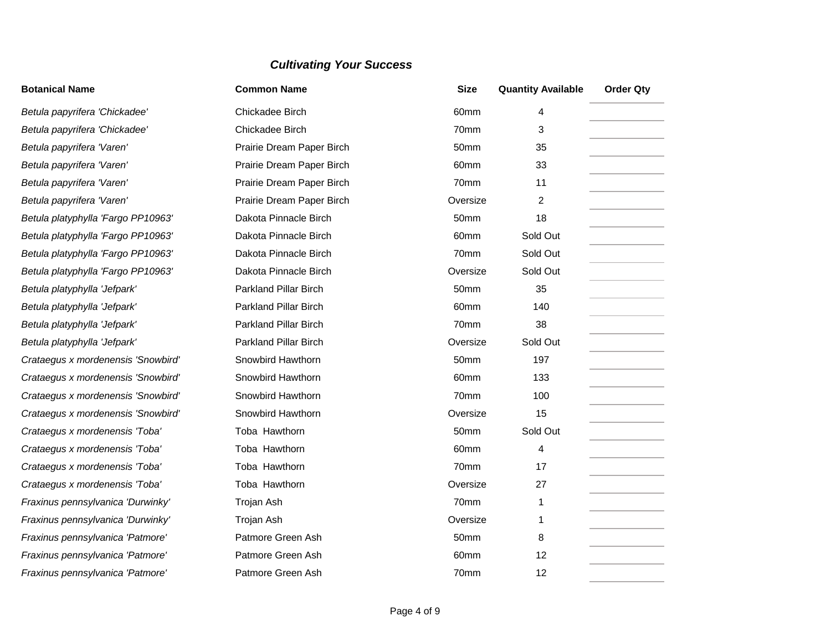| <b>Botanical Name</b>              | <b>Common Name</b>           | <b>Size</b>      | <b>Quantity Available</b> | <b>Order Qty</b> |
|------------------------------------|------------------------------|------------------|---------------------------|------------------|
| Betula papyrifera 'Chickadee'      | Chickadee Birch              | 60mm             | 4                         |                  |
| Betula papyrifera 'Chickadee'      | Chickadee Birch              | 70mm             | 3                         |                  |
| Betula papyrifera 'Varen'          | Prairie Dream Paper Birch    | 50mm             | 35                        |                  |
| Betula papyrifera 'Varen'          | Prairie Dream Paper Birch    | 60mm             | 33                        |                  |
| Betula papyrifera 'Varen'          | Prairie Dream Paper Birch    | 70mm             | 11                        |                  |
| Betula papyrifera 'Varen'          | Prairie Dream Paper Birch    | Oversize         | $\overline{2}$            |                  |
| Betula platyphylla 'Fargo PP10963' | Dakota Pinnacle Birch        | 50 <sub>mm</sub> | 18                        |                  |
| Betula platyphylla 'Fargo PP10963' | Dakota Pinnacle Birch        | 60 <sub>mm</sub> | Sold Out                  |                  |
| Betula platyphylla 'Fargo PP10963' | Dakota Pinnacle Birch        | 70mm             | Sold Out                  |                  |
| Betula platyphylla 'Fargo PP10963' | Dakota Pinnacle Birch        | Oversize         | Sold Out                  |                  |
| Betula platyphylla 'Jefpark'       | <b>Parkland Pillar Birch</b> | 50mm             | 35                        |                  |
| Betula platyphylla 'Jefpark'       | <b>Parkland Pillar Birch</b> | 60mm             | 140                       |                  |
| Betula platyphylla 'Jefpark'       | <b>Parkland Pillar Birch</b> | 70mm             | 38                        |                  |
| Betula platyphylla 'Jefpark'       | Parkland Pillar Birch        | Oversize         | Sold Out                  |                  |
| Crataegus x mordenensis 'Snowbird' | Snowbird Hawthorn            | 50mm             | 197                       |                  |
| Crataegus x mordenensis 'Snowbird' | Snowbird Hawthorn            | 60mm             | 133                       |                  |
| Crataegus x mordenensis 'Snowbird' | Snowbird Hawthorn            | 70mm             | 100                       |                  |
| Crataegus x mordenensis 'Snowbird' | Snowbird Hawthorn            | Oversize         | 15                        |                  |
| Crataegus x mordenensis 'Toba'     | Toba Hawthorn                | 50mm             | Sold Out                  |                  |
| Crataegus x mordenensis 'Toba'     | Toba Hawthorn                | 60mm             | 4                         |                  |
| Crataegus x mordenensis 'Toba'     | Toba Hawthorn                | 70mm             | 17                        |                  |
| Crataegus x mordenensis 'Toba'     | Toba Hawthorn                | Oversize         | 27                        |                  |
| Fraxinus pennsylvanica 'Durwinky'  | Trojan Ash                   | 70mm             | 1                         |                  |
| Fraxinus pennsylvanica 'Durwinky'  | Trojan Ash                   | Oversize         | 1                         |                  |
| Fraxinus pennsylvanica 'Patmore'   | Patmore Green Ash            | 50mm             | 8                         |                  |
| Fraxinus pennsylvanica 'Patmore'   | Patmore Green Ash            | 60mm             | 12                        |                  |
| Fraxinus pennsylvanica 'Patmore'   | Patmore Green Ash            | 70mm             | 12                        |                  |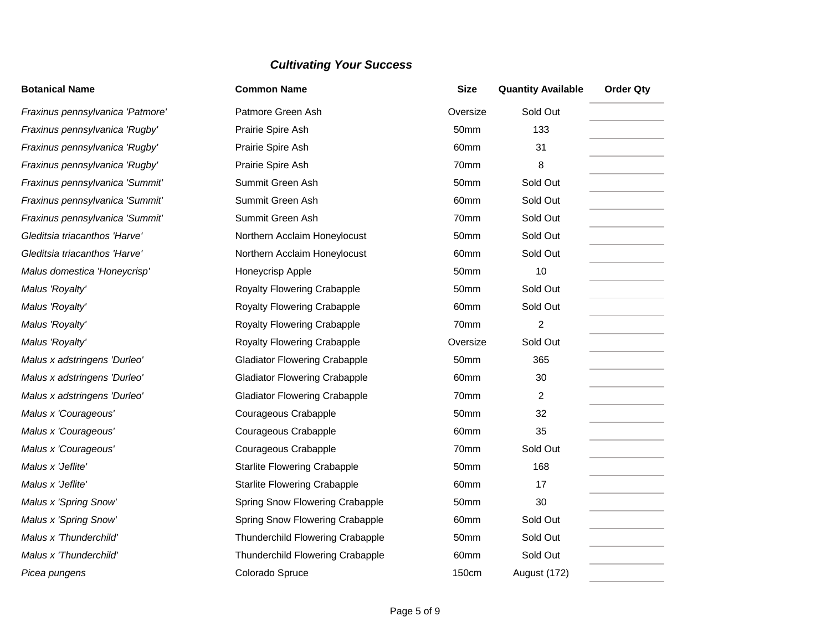| <b>Botanical Name</b>            | <b>Common Name</b>                   | <b>Size</b>      | <b>Quantity Available</b> | <b>Order Qty</b> |
|----------------------------------|--------------------------------------|------------------|---------------------------|------------------|
| Fraxinus pennsylvanica 'Patmore' | Patmore Green Ash                    | Oversize         | Sold Out                  |                  |
| Fraxinus pennsylvanica 'Rugby'   | Prairie Spire Ash                    | 50mm             | 133                       |                  |
| Fraxinus pennsylvanica 'Rugby'   | Prairie Spire Ash                    | 60 <sub>mm</sub> | 31                        |                  |
| Fraxinus pennsylvanica 'Rugby'   | Prairie Spire Ash                    | 70mm             | 8                         |                  |
| Fraxinus pennsylvanica 'Summit'  | Summit Green Ash                     | 50mm             | Sold Out                  |                  |
| Fraxinus pennsylvanica 'Summit'  | Summit Green Ash                     | 60mm             | Sold Out                  |                  |
| Fraxinus pennsylvanica 'Summit'  | Summit Green Ash                     | 70mm             | Sold Out                  |                  |
| Gleditsia triacanthos 'Harve'    | Northern Acclaim Honeylocust         | 50mm             | Sold Out                  |                  |
| Gleditsia triacanthos 'Harve'    | Northern Acclaim Honeylocust         | 60mm             | Sold Out                  |                  |
| Malus domestica 'Honeycrisp'     | Honeycrisp Apple                     | 50mm             | 10                        |                  |
| Malus 'Royalty'                  | Royalty Flowering Crabapple          | 50mm             | Sold Out                  |                  |
| Malus 'Royalty'                  | Royalty Flowering Crabapple          | 60mm             | Sold Out                  |                  |
| Malus 'Royalty'                  | Royalty Flowering Crabapple          | 70mm             | $\overline{2}$            |                  |
| Malus 'Royalty'                  | Royalty Flowering Crabapple          | Oversize         | Sold Out                  |                  |
| Malus x adstringens 'Durleo'     | <b>Gladiator Flowering Crabapple</b> | 50mm             | 365                       |                  |
| Malus x adstringens 'Durleo'     | <b>Gladiator Flowering Crabapple</b> | 60mm             | 30                        |                  |
| Malus x adstringens 'Durleo'     | <b>Gladiator Flowering Crabapple</b> | 70mm             | 2                         |                  |
| Malus x 'Courageous'             | Courageous Crabapple                 | 50mm             | 32                        |                  |
| Malus x 'Courageous'             | Courageous Crabapple                 | 60mm             | 35                        |                  |
| Malus x 'Courageous'             | Courageous Crabapple                 | 70mm             | Sold Out                  |                  |
| Malus x 'Jeflite'                | <b>Starlite Flowering Crabapple</b>  | 50mm             | 168                       |                  |
| Malus x 'Jeflite'                | <b>Starlite Flowering Crabapple</b>  | 60mm             | 17                        |                  |
| Malus x 'Spring Snow'            | Spring Snow Flowering Crabapple      | 50mm             | 30                        |                  |
| Malus x 'Spring Snow'            | Spring Snow Flowering Crabapple      | 60mm             | Sold Out                  |                  |
| Malus x 'Thunderchild'           | Thunderchild Flowering Crabapple     | 50mm             | Sold Out                  |                  |
| Malus x 'Thunderchild'           | Thunderchild Flowering Crabapple     | 60mm             | Sold Out                  |                  |
| Picea pungens                    | Colorado Spruce                      | <b>150cm</b>     | August (172)              |                  |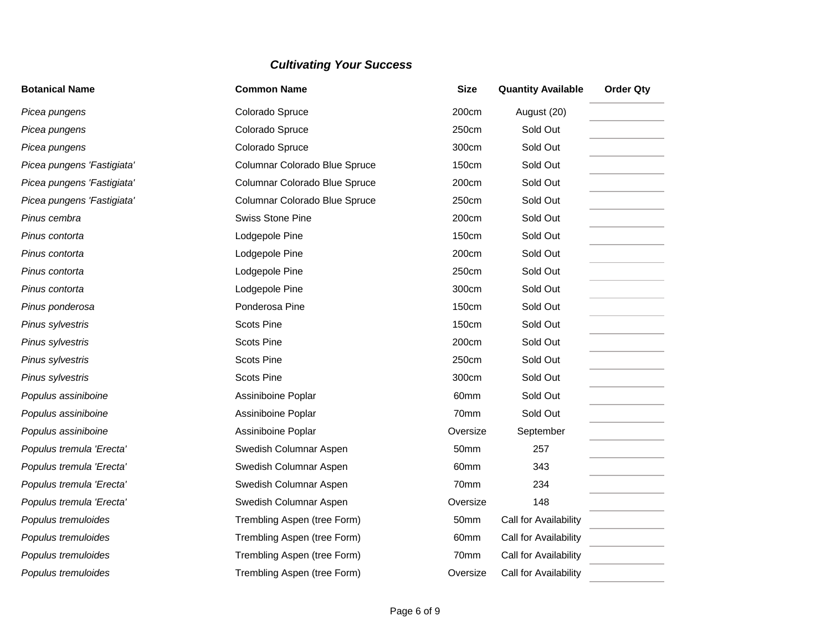| <b>Botanical Name</b>      | <b>Common Name</b>            | <b>Size</b>  | <b>Quantity Available</b> | <b>Order Qty</b> |
|----------------------------|-------------------------------|--------------|---------------------------|------------------|
| Picea pungens              | Colorado Spruce               | 200cm        | August (20)               |                  |
| Picea pungens              | Colorado Spruce               | 250cm        | Sold Out                  |                  |
| Picea pungens              | Colorado Spruce               | 300cm        | Sold Out                  |                  |
| Picea pungens 'Fastigiata' | Columnar Colorado Blue Spruce | 150cm        | Sold Out                  |                  |
| Picea pungens 'Fastigiata' | Columnar Colorado Blue Spruce | 200cm        | Sold Out                  |                  |
| Picea pungens 'Fastigiata' | Columnar Colorado Blue Spruce | 250cm        | Sold Out                  |                  |
| Pinus cembra               | <b>Swiss Stone Pine</b>       | 200cm        | Sold Out                  |                  |
| Pinus contorta             | Lodgepole Pine                | 150cm        | Sold Out                  |                  |
| Pinus contorta             | Lodgepole Pine                | 200cm        | Sold Out                  |                  |
| Pinus contorta             | Lodgepole Pine                | 250cm        | Sold Out                  |                  |
| Pinus contorta             | Lodgepole Pine                | 300cm        | Sold Out                  |                  |
| Pinus ponderosa            | Ponderosa Pine                | <b>150cm</b> | Sold Out                  |                  |
| Pinus sylvestris           | <b>Scots Pine</b>             | 150cm        | Sold Out                  |                  |
| Pinus sylvestris           | <b>Scots Pine</b>             | 200cm        | Sold Out                  |                  |
| Pinus sylvestris           | <b>Scots Pine</b>             | 250cm        | Sold Out                  |                  |
| Pinus sylvestris           | <b>Scots Pine</b>             | 300cm        | Sold Out                  |                  |
| Populus assiniboine        | Assiniboine Poplar            | 60mm         | Sold Out                  |                  |
| Populus assiniboine        | Assiniboine Poplar            | 70mm         | Sold Out                  |                  |
| Populus assiniboine        | Assiniboine Poplar            | Oversize     | September                 |                  |
| Populus tremula 'Erecta'   | Swedish Columnar Aspen        | 50mm         | 257                       |                  |
| Populus tremula 'Erecta'   | Swedish Columnar Aspen        | 60mm         | 343                       |                  |
| Populus tremula 'Erecta'   | Swedish Columnar Aspen        | 70mm         | 234                       |                  |
| Populus tremula 'Erecta'   | Swedish Columnar Aspen        | Oversize     | 148                       |                  |
| Populus tremuloides        | Trembling Aspen (tree Form)   | 50mm         | Call for Availability     |                  |
| Populus tremuloides        | Trembling Aspen (tree Form)   | 60mm         | Call for Availability     |                  |
| Populus tremuloides        | Trembling Aspen (tree Form)   | 70mm         | Call for Availability     |                  |
| Populus tremuloides        | Trembling Aspen (tree Form)   | Oversize     | Call for Availability     |                  |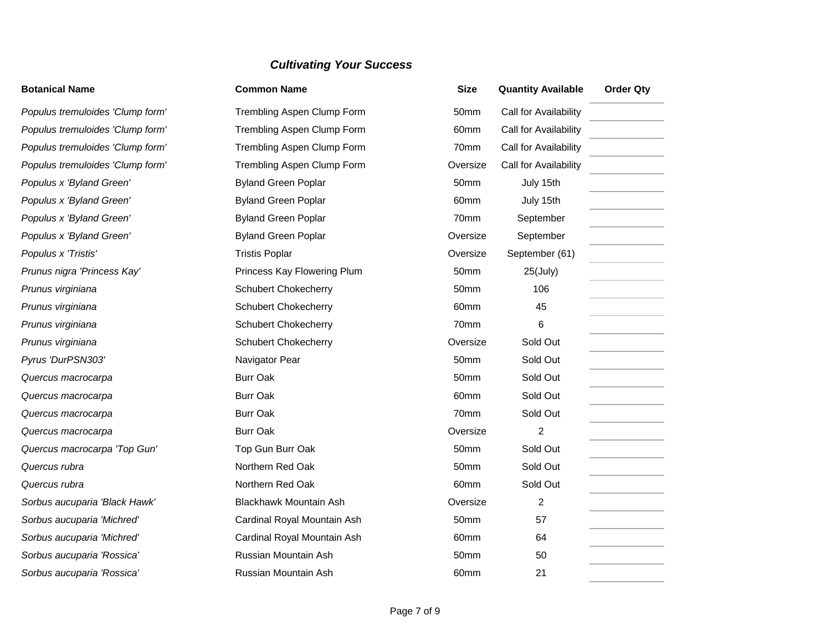| <b>Botanical Name</b>            | <b>Common Name</b>            | <b>Size</b> | <b>Quantity Available</b> | <b>Order Qty</b> |
|----------------------------------|-------------------------------|-------------|---------------------------|------------------|
| Populus tremuloides 'Clump form' | Trembling Aspen Clump Form    | 50mm        | Call for Availability     |                  |
| Populus tremuloides 'Clump form' | Trembling Aspen Clump Form    | 60mm        | Call for Availability     |                  |
| Populus tremuloides 'Clump form' | Trembling Aspen Clump Form    | 70mm        | Call for Availability     |                  |
| Populus tremuloides 'Clump form' | Trembling Aspen Clump Form    | Oversize    | Call for Availability     |                  |
| Populus x 'Byland Green'         | <b>Byland Green Poplar</b>    | 50mm        | July 15th                 |                  |
| Populus x 'Byland Green'         | <b>Byland Green Poplar</b>    | 60mm        | July 15th                 |                  |
| Populus x 'Byland Green'         | <b>Byland Green Poplar</b>    | 70mm        | September                 |                  |
| Populus x 'Byland Green'         | <b>Byland Green Poplar</b>    | Oversize    | September                 |                  |
| Populus x 'Tristis'              | <b>Tristis Poplar</b>         | Oversize    | September (61)            |                  |
| Prunus nigra 'Princess Kay'      | Princess Kay Flowering Plum   | 50mm        | $25$ (July)               |                  |
| Prunus virginiana                | <b>Schubert Chokecherry</b>   | 50mm        | 106                       |                  |
| Prunus virginiana                | <b>Schubert Chokecherry</b>   | 60mm        | 45                        |                  |
| Prunus virginiana                | <b>Schubert Chokecherry</b>   | 70mm        | 6                         |                  |
| Prunus virginiana                | <b>Schubert Chokecherry</b>   | Oversize    | Sold Out                  |                  |
| Pyrus 'DurPSN303'                | Navigator Pear                | 50mm        | Sold Out                  |                  |
| Quercus macrocarpa               | <b>Burr Oak</b>               | 50mm        | Sold Out                  |                  |
| Quercus macrocarpa               | <b>Burr Oak</b>               | 60mm        | Sold Out                  |                  |
| Quercus macrocarpa               | <b>Burr Oak</b>               | 70mm        | Sold Out                  |                  |
| Quercus macrocarpa               | <b>Burr Oak</b>               | Oversize    | $\overline{2}$            |                  |
| Quercus macrocarpa 'Top Gun'     | Top Gun Burr Oak              | 50mm        | Sold Out                  |                  |
| Quercus rubra                    | Northern Red Oak              | 50mm        | Sold Out                  |                  |
| Quercus rubra                    | Northern Red Oak              | 60mm        | Sold Out                  |                  |
| Sorbus aucuparia 'Black Hawk'    | <b>Blackhawk Mountain Ash</b> | Oversize    | 2                         |                  |
| Sorbus aucuparia 'Michred'       | Cardinal Royal Mountain Ash   | 50mm        | 57                        |                  |
| Sorbus aucuparia 'Michred'       | Cardinal Royal Mountain Ash   | 60mm        | 64                        |                  |
| Sorbus aucuparia 'Rossica'       | Russian Mountain Ash          | 50mm        | 50                        |                  |
| Sorbus aucuparia 'Rossica'       | Russian Mountain Ash          | 60mm        | 21                        |                  |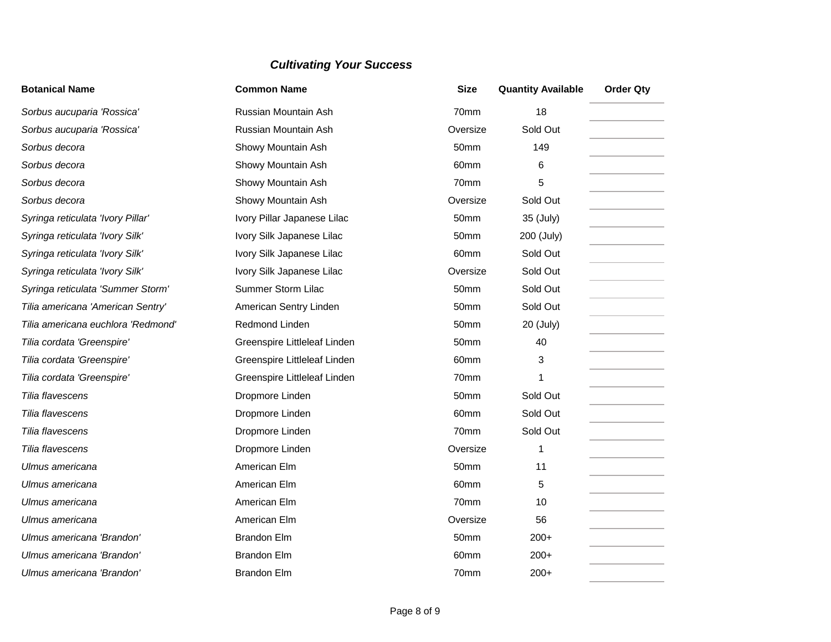| <b>Botanical Name</b>              | <b>Common Name</b>           | <b>Size</b>      | <b>Quantity Available</b> | <b>Order Qty</b> |
|------------------------------------|------------------------------|------------------|---------------------------|------------------|
| Sorbus aucuparia 'Rossica'         | Russian Mountain Ash         | 70mm             | 18                        |                  |
| Sorbus aucuparia 'Rossica'         | Russian Mountain Ash         | Oversize         | Sold Out                  |                  |
| Sorbus decora                      | Showy Mountain Ash           | 50mm             | 149                       |                  |
| Sorbus decora                      | Showy Mountain Ash           | 60mm             | 6                         |                  |
| Sorbus decora                      | Showy Mountain Ash           | 70mm             | 5                         |                  |
| Sorbus decora                      | Showy Mountain Ash           | Oversize         | Sold Out                  |                  |
| Syringa reticulata 'Ivory Pillar'  | Ivory Pillar Japanese Lilac  | 50mm             | 35 (July)                 |                  |
| Syringa reticulata 'Ivory Silk'    | Ivory Silk Japanese Lilac    | 50mm             | 200 (July)                |                  |
| Syringa reticulata 'Ivory Silk'    | Ivory Silk Japanese Lilac    | 60mm             | Sold Out                  |                  |
| Syringa reticulata 'Ivory Silk'    | Ivory Silk Japanese Lilac    | Oversize         | Sold Out                  |                  |
| Syringa reticulata 'Summer Storm'  | Summer Storm Lilac           | 50mm             | Sold Out                  |                  |
| Tilia americana 'American Sentry'  | American Sentry Linden       | 50mm             | Sold Out                  |                  |
| Tilia americana euchlora 'Redmond' | Redmond Linden               | 50mm             | 20 (July)                 |                  |
| Tilia cordata 'Greenspire'         | Greenspire Littleleaf Linden | 50 <sub>mm</sub> | 40                        |                  |
| Tilia cordata 'Greenspire'         | Greenspire Littleleaf Linden | 60mm             | 3                         |                  |
| Tilia cordata 'Greenspire'         | Greenspire Littleleaf Linden | 70mm             | 1                         |                  |
| Tilia flavescens                   | Dropmore Linden              | 50mm             | Sold Out                  |                  |
| Tilia flavescens                   | Dropmore Linden              | 60mm             | Sold Out                  |                  |
| Tilia flavescens                   | Dropmore Linden              | 70mm             | Sold Out                  |                  |
| Tilia flavescens                   | Dropmore Linden              | Oversize         | 1                         |                  |
| Ulmus americana                    | American Elm                 | 50mm             | 11                        |                  |
| Ulmus americana                    | American Elm                 | 60mm             | 5                         |                  |
| Ulmus americana                    | American Elm                 | 70 <sub>mm</sub> | 10                        |                  |
| Ulmus americana                    | American Elm                 | Oversize         | 56                        |                  |
| Ulmus americana 'Brandon'          | <b>Brandon Elm</b>           | 50mm             | $200+$                    |                  |
| Ulmus americana 'Brandon'          | <b>Brandon Elm</b>           | 60mm             | $200+$                    |                  |
| Ulmus americana 'Brandon'          | <b>Brandon Elm</b>           | 70mm             | $200+$                    |                  |